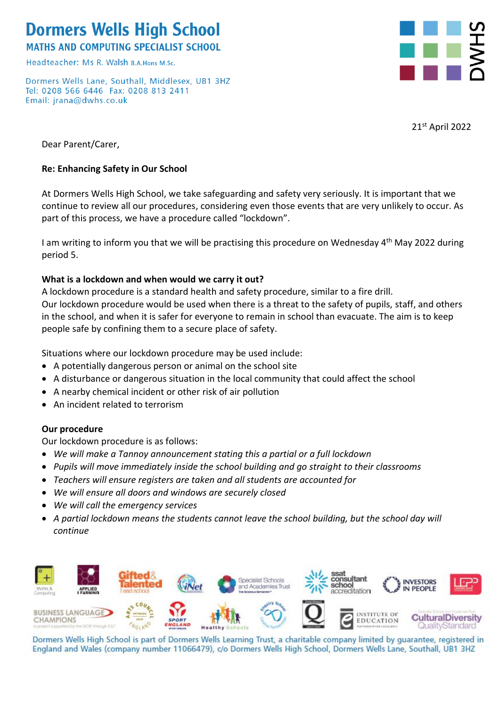# **Dormers Wells High School**

**MATHS AND COMPUTING SPECIALIST SCHOOL** 

Headteacher: Ms R, Walsh R A Hops M Sc

Dormers Wells Lane, Southall, Middlesex, UB1 3HZ Tel: 0208 566 6446 Fax: 0208 813 2411 Email: jrana@dwhs.co.uk



21st April 2022

Dear Parent/Carer,

#### **Re: Enhancing Safety in Our School**

At Dormers Wells High School, we take safeguarding and safety very seriously. It is important that we continue to review all our procedures, considering even those events that are very unlikely to occur. As part of this process, we have a procedure called "lockdown".

I am writing to inform you that we will be practising this procedure on Wednesday 4<sup>th</sup> May 2022 during period 5.

#### **What is a lockdown and when would we carry it out?**

A lockdown procedure is a standard health and safety procedure, similar to a fire drill. Our lockdown procedure would be used when there is a threat to the safety of pupils, staff, and others in the school, and when it is safer for everyone to remain in school than evacuate. The aim is to keep people safe by confining them to a secure place of safety.

Situations where our lockdown procedure may be used include:

- A potentially dangerous person or animal on the school site
- A disturbance or dangerous situation in the local community that could affect the school
- A nearby chemical incident or other risk of air pollution
- An incident related to terrorism

#### **Our procedure**

Our lockdown procedure is as follows:

- *We will make a Tannoy announcement stating this a partial or a full lockdown*
- *Pupils will move immediately inside the school building and go straight to their classrooms*
- *Teachers will ensure registers are taken and all students are accounted for*
- *We will ensure all doors and windows are securely closed*
- *We will call the emergency services*
- *A partial lockdown means the students cannot leave the school building, but the school day will continue*



Dormers Wells High School is part of Dormers Wells Learning Trust, a charitable company limited by guarantee, registered in England and Wales (company number 11066479), c/o Dormers Wells High School, Dormers Wells Lane, Southall, UB1 3HZ